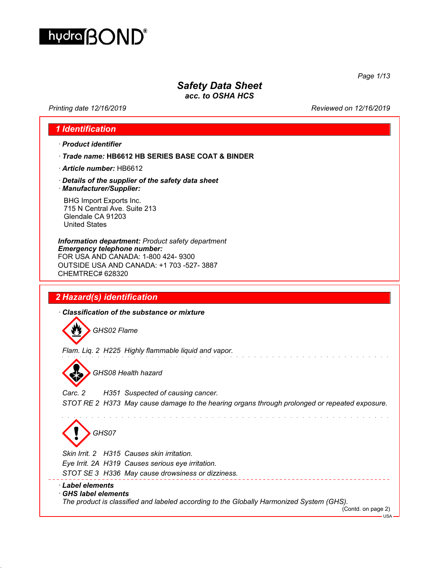

*Safety Data Sheet*

*acc. to OSHA HCS*

*Printing date 12/16/2019 Reviewed on 12/16/2019*

*Page 1/13*

# *1 Identification*

- *· Product identifier*
- *· Trade name:* **HB6612 HB SERIES BASE COAT & BINDER**
- *· Article number:* HB6612
- *· Details of the supplier of the safety data sheet · Manufacturer/Supplier:*

BHG Import Exports Inc. 715 N Central Ave. Suite 213 Glendale CA 91203 United States

*Information department: Product safety department Emergency telephone number:* FOR USA AND CANADA: 1-800 424- 9300 OUTSIDE USA AND CANADA: +1 703 -527- 3887 CHEMTREC# 628320

# *2 Hazard(s) identification*

*· Classification of the substance or mixture*

 $\boldsymbol{w}$ *GHS02 Flame*

*Flam. Liq. 2 H225 Highly flammable liquid and vapor.*



*GHS08 Health hazard*

*Carc. 2 H351 Suspected of causing cancer. STOT RE 2 H373 May cause damage to the hearing organs through prolonged or repeated exposure.*

*GHS07*

*Skin Irrit. 2 H315 Causes skin irritation.*

*Eye Irrit. 2A H319 Causes serious eye irritation.*

*STOT SE 3 H336 May cause drowsiness or dizziness.*

#### *· Label elements*

#### *· GHS label elements*

*The product is classified and labeled according to the Globally Harmonized System (GHS).*

(Contd. on page 2)

- USA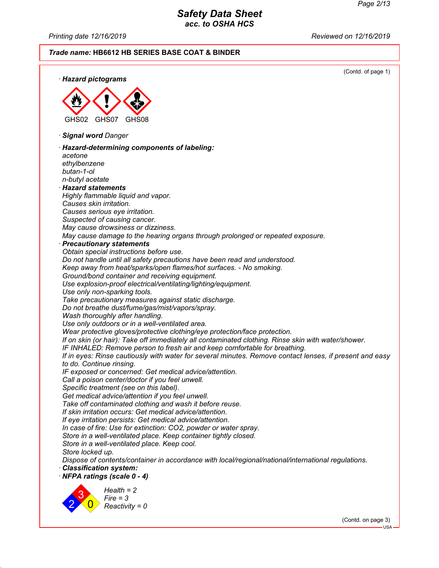*Printing date 12/16/2019 Reviewed on 12/16/2019*

### *Trade name:* **HB6612 HB SERIES BASE COAT & BINDER**

(Contd. of page 1) *· Hazard pictograms* GHS02 GHS07 GHS08 *· Signal word Danger · Hazard-determining components of labeling: acetone ethylbenzene butan-1-ol n-butyl acetate · Hazard statements Highly flammable liquid and vapor. Causes skin irritation. Causes serious eye irritation. Suspected of causing cancer. May cause drowsiness or dizziness. May cause damage to the hearing organs through prolonged or repeated exposure. · Precautionary statements Obtain special instructions before use. Do not handle until all safety precautions have been read and understood. Keep away from heat/sparks/open flames/hot surfaces. - No smoking. Ground/bond container and receiving equipment. Use explosion-proof electrical/ventilating/lighting/equipment. Use only non-sparking tools. Take precautionary measures against static discharge. Do not breathe dust/fume/gas/mist/vapors/spray. Wash thoroughly after handling. Use only outdoors or in a well-ventilated area. Wear protective gloves/protective clothing/eye protection/face protection. If on skin (or hair): Take off immediately all contaminated clothing. Rinse skin with water/shower. IF INHALED: Remove person to fresh air and keep comfortable for breathing. If in eyes: Rinse cautiously with water for several minutes. Remove contact lenses, if present and easy to do. Continue rinsing. IF exposed or concerned: Get medical advice/attention. Call a poison center/doctor if you feel unwell. Specific treatment (see on this label). Get medical advice/attention if you feel unwell. Take off contaminated clothing and wash it before reuse. If skin irritation occurs: Get medical advice/attention. If eye irritation persists: Get medical advice/attention. In case of fire: Use for extinction: CO2, powder or water spray. Store in a well-ventilated place. Keep container tightly closed. Store in a well-ventilated place. Keep cool. Store locked up. Dispose of contents/container in accordance with local/regional/national/international regulations. · Classification system: · NFPA ratings (scale 0 - 4)* 2 3  $\overline{\mathbf{0}}$ *Health = 2 Fire = 3 Reactivity = 0*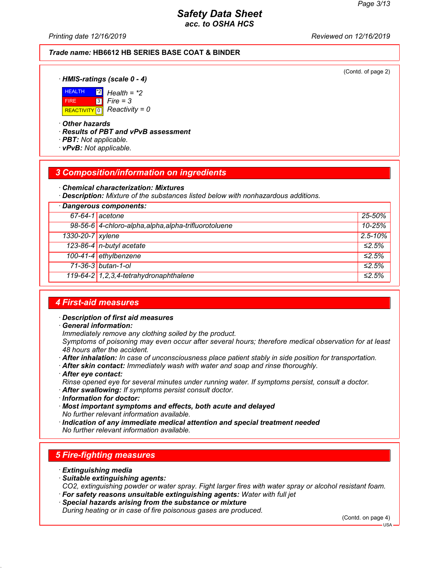*Printing date 12/16/2019 Reviewed on 12/16/2019*

#### *Trade name:* **HB6612 HB SERIES BASE COAT & BINDER**

(Contd. of page 2)

*· HMIS-ratings (scale 0 - 4)*



\*2 *Health = \*2* 3 *Fire = 3*

*· Other hazards*

*· Results of PBT and vPvB assessment*

- *· PBT: Not applicable.*
- *· vPvB: Not applicable.*

### *3 Composition/information on ingredients*

*· Chemical characterization: Mixtures*

*· Description: Mixture of the substances listed below with nonhazardous additions.*

| · Dangerous components: |                                                       |              |
|-------------------------|-------------------------------------------------------|--------------|
|                         | $67-64-1$ acetone                                     | $25 - 50%$   |
|                         | 98-56-6 4-chloro-alpha, alpha, alpha-trifluorotoluene | 10-25%       |
| 1330-20-7 xylene        |                                                       | $2.5 - 10\%$ |
|                         | 123-86-4 n-butyl acetate                              | ≤2.5%        |
|                         | 100-41-4 ethylbenzene                                 | ≤2.5%        |
|                         | 71-36-3 butan-1-ol                                    | ≤2.5%        |
|                         | 119-64-2 7,2,3,4-tetrahydronaphthalene                | ≤2.5%        |

### *4 First-aid measures*

- *· Description of first aid measures*
- *· General information:*

*Immediately remove any clothing soiled by the product.*

*Symptoms of poisoning may even occur after several hours; therefore medical observation for at least 48 hours after the accident.*

- *· After inhalation: In case of unconsciousness place patient stably in side position for transportation.*
- *· After skin contact: Immediately wash with water and soap and rinse thoroughly.*
- *· After eye contact:*

*Rinse opened eye for several minutes under running water. If symptoms persist, consult a doctor.*

- *· After swallowing: If symptoms persist consult doctor.*
- *· Information for doctor:*
- *· Most important symptoms and effects, both acute and delayed No further relevant information available.*
- *· Indication of any immediate medical attention and special treatment needed No further relevant information available.*

# *5 Fire-fighting measures*

- *· Extinguishing media*
- *· Suitable extinguishing agents:*

*CO2, extinguishing powder or water spray. Fight larger fires with water spray or alcohol resistant foam. · For safety reasons unsuitable extinguishing agents: Water with full jet*

*· Special hazards arising from the substance or mixture*

*During heating or in case of fire poisonous gases are produced.*

(Contd. on page 4)

USA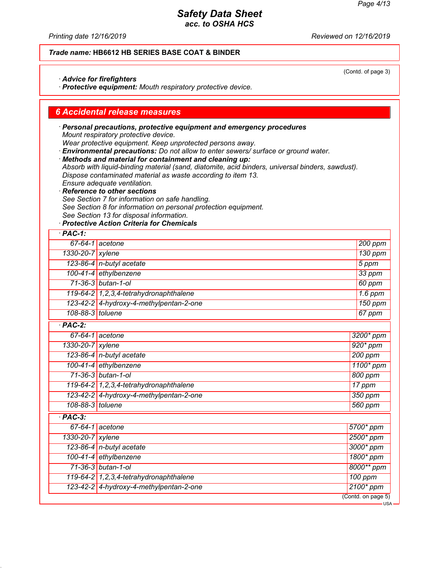*Printing date 12/16/2019 Reviewed on 12/16/2019*

### *Trade name:* **HB6612 HB SERIES BASE COAT & BINDER**

#### *· Advice for firefighters*

*· Protective equipment: Mouth respiratory protective device.*

### *6 Accidental release measures*

*· Personal precautions, protective equipment and emergency procedures Mount respiratory protective device. Wear protective equipment. Keep unprotected persons away.*

*· Environmental precautions: Do not allow to enter sewers/ surface or ground water.*

*· Methods and material for containment and cleaning up:*

*Absorb with liquid-binding material (sand, diatomite, acid binders, universal binders, sawdust). Dispose contaminated material as waste according to item 13. Ensure adequate ventilation.*

*· Reference to other sections See Section 7 for information on safe handling. See Section 8 for information on personal protection equipment.*

*See Section 13 for disposal information.*

*· Protective Action Criteria for Chemicals*

| $·$ PAC-1:           |                                            |                    |
|----------------------|--------------------------------------------|--------------------|
|                      | $67-64-1$ acetone                          | 200 ppm            |
| 1330-20-7 xylene     |                                            | 130 ppm            |
|                      | 123-86-4 n-butyl acetate                   | 5 ppm              |
|                      | 100-41-4 ethylbenzene                      | 33 ppm             |
|                      | 71-36-3 butan-1-ol                         | 60 ppm             |
|                      | 119-64-2 1, 2, 3, 4-tetrahydronaphthalene  | $1.6$ ppm          |
|                      | 123-42-2 4-hydroxy-4-methylpentan-2-one    | 150 ppm            |
| 108-88-3 toluene     |                                            | 67 ppm             |
| $\overline{PAC-2}$ : |                                            |                    |
|                      | $67-64-1$ acetone                          | 3200* ppm          |
| 1330-20-7 xylene     |                                            | $920*ppm$          |
|                      | 123-86-4 n-butyl acetate                   | 200 ppm            |
|                      | 100-41-4 ethylbenzene                      | 1100* ppm          |
|                      | 71-36-3 butan-1-ol                         | 800 ppm            |
|                      | 119-64-2 1, 2, 3, 4-tetrahy dronaphthalene | 17 ppm             |
|                      | 123-42-2 4-hydroxy-4-methylpentan-2-one    | 350 ppm            |
| 108-88-3 toluene     |                                            | 560 ppm            |
| $\overline{PAC-3}$   |                                            |                    |
|                      | $67-64-1$ acetone                          | 5700* ppm          |
| 1330-20-7 xylene     |                                            | 2500* ppm          |
|                      | 123-86-4 n-butyl acetate                   | 3000* ppm          |
|                      | 100-41-4 ethylbenzene                      | 1800* ppm          |
|                      | 71-36-3 butan-1-ol                         | 8000** ppm         |
|                      | 119-64-2 1, 2, 3, 4-tetrahy dronaphthalene | 100 ppm            |
|                      | 123-42-2 4-hydroxy-4-methylpentan-2-one    | $2100*$ ppm        |
|                      |                                            | (Contd. on page 5) |
|                      |                                            |                    |

(Contd. of page 3)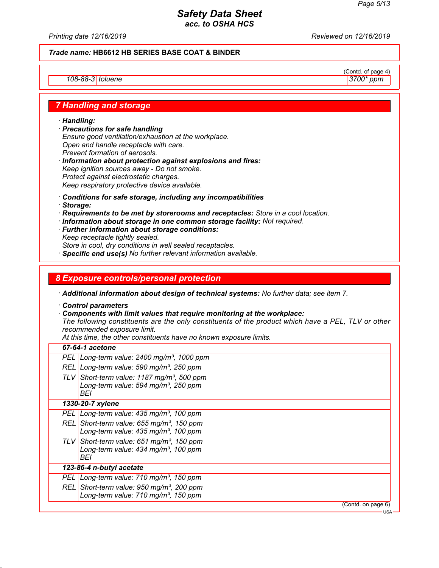*Printing date 12/16/2019 Reviewed on 12/16/2019*

### *Trade name:* **HB6612 HB SERIES BASE COAT & BINDER**

### *108-88-3 toluene 3700\* ppm*

 $\frac{(\text{Cond. of page 4})}{3700*ppm}$ 

### *7 Handling and storage*

- *· Handling:*
- *· Precautions for safe handling Ensure good ventilation/exhaustion at the workplace. Open and handle receptacle with care. Prevent formation of aerosols.*
- *· Information about protection against explosions and fires: Keep ignition sources away - Do not smoke. Protect against electrostatic charges. Keep respiratory protective device available.*
- *· Conditions for safe storage, including any incompatibilities*
- *· Storage:*
- *· Requirements to be met by storerooms and receptacles: Store in a cool location.*
- *· Information about storage in one common storage facility: Not required.*
- *· Further information about storage conditions:*
- *Keep receptacle tightly sealed.*

*Store in cool, dry conditions in well sealed receptacles.*

*· Specific end use(s) No further relevant information available.*

### *8 Exposure controls/personal protection*

*· Additional information about design of technical systems: No further data; see item 7.*

- *· Control parameters*
- *· Components with limit values that require monitoring at the workplace:*

*The following constituents are the only constituents of the product which have a PEL, TLV or other recommended exposure limit.*

*At this time, the other constituents have no known exposure limits.*

| 67-64-1 acetone                                                                                                    |
|--------------------------------------------------------------------------------------------------------------------|
| PEL Long-term value: 2400 mg/m <sup>3</sup> , 1000 ppm                                                             |
| REL Long-term value: 590 mg/m <sup>3</sup> , 250 ppm                                                               |
| TLV Short-term value: 1187 mg/m <sup>3</sup> , 500 ppm<br>Long-term value: 594 mg/m <sup>3</sup> , 250 ppm<br>BEI  |
| 1330-20-7 xylene                                                                                                   |
| PEL Long-term value: 435 mg/m <sup>3</sup> , 100 ppm                                                               |
| REL Short-term value: 655 mg/m <sup>3</sup> , 150 ppm<br>Long-term value: 435 mg/m <sup>3</sup> , 100 ppm          |
| TLV Short-term value: 651 mg/m <sup>3</sup> , 150 ppm<br>Long-term value: $434$ mg/m <sup>3</sup> , 100 ppm<br>BEI |
| 123-86-4 n-butyl acetate                                                                                           |
| PEL Long-term value: 710 mg/m <sup>3</sup> , 150 ppm                                                               |
| REL Short-term value: 950 mg/m <sup>3</sup> , 200 ppm                                                              |
| Long-term value: 710 mg/m <sup>3</sup> , 150 ppm                                                                   |
| (Contd. on page 6)<br>- 1194                                                                                       |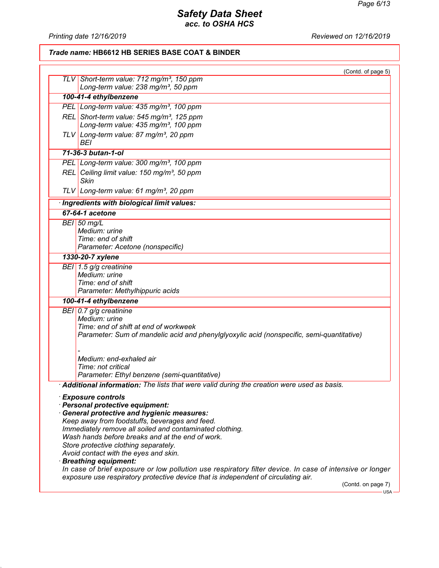*Printing date 12/16/2019 Reviewed on 12/16/2019*

### *Trade name:* **HB6612 HB SERIES BASE COAT & BINDER**

| (Contd. of page 5)                                                                                               |  |  |
|------------------------------------------------------------------------------------------------------------------|--|--|
| TLV Short-term value: 712 mg/m <sup>3</sup> , 150 ppm<br>Long-term value: 238 mg/m <sup>3</sup> , 50 ppm         |  |  |
| 100-41-4 ethylbenzene                                                                                            |  |  |
| PEL Long-term value: 435 mg/m <sup>3</sup> , 100 ppm                                                             |  |  |
| REL Short-term value: 545 mg/m <sup>3</sup> , 125 ppm                                                            |  |  |
| Long-term value: 435 mg/m <sup>3</sup> , 100 ppm                                                                 |  |  |
| TLV Long-term value: 87 mg/m <sup>3</sup> , 20 ppm<br>BEI                                                        |  |  |
| 71-36-3 butan-1-ol                                                                                               |  |  |
| PEL Long-term value: 300 mg/m <sup>3</sup> , 100 ppm                                                             |  |  |
| REL Ceiling limit value: 150 mg/m <sup>3</sup> , 50 ppm<br>Skin                                                  |  |  |
| TLV Long-term value: 61 mg/m <sup>3</sup> , 20 ppm                                                               |  |  |
| Ingredients with biological limit values:                                                                        |  |  |
| 67-64-1 acetone                                                                                                  |  |  |
| $BEI$ 50 mg/L                                                                                                    |  |  |
| Medium: urine                                                                                                    |  |  |
| Time: end of shift<br>Parameter: Acetone (nonspecific)                                                           |  |  |
| 1330-20-7 xylene                                                                                                 |  |  |
| BEI $1.5$ g/g creatinine                                                                                         |  |  |
| Medium: urine                                                                                                    |  |  |
| Time: end of shift                                                                                               |  |  |
| Parameter: Methylhippuric acids                                                                                  |  |  |
| 100-41-4 ethylbenzene                                                                                            |  |  |
| BEI 0.7 $g/g$ creatinine                                                                                         |  |  |
| Medium: urine                                                                                                    |  |  |
| Time: end of shift at end of workweek                                                                            |  |  |
| Parameter: Sum of mandelic acid and phenylglyoxylic acid (nonspecific, semi-quantitative)                        |  |  |
|                                                                                                                  |  |  |
| Medium: end-exhaled air                                                                                          |  |  |
| Time: not critical                                                                                               |  |  |
| Parameter: Ethyl benzene (semi-quantitative)                                                                     |  |  |
| $\cdot$ Additional information: The lists that were valid during the creation were used as basis.                |  |  |
| $\cdot$ Exposure controls                                                                                        |  |  |
| Personal protective equipment:                                                                                   |  |  |
| General protective and hygienic measures:                                                                        |  |  |
| Keep away from foodstuffs, beverages and feed.                                                                   |  |  |
| Immediately remove all soiled and contaminated clothing.<br>Wash hands before breaks and at the end of work.     |  |  |
| Store protective clothing separately.                                                                            |  |  |
| Avoid contact with the eyes and skin.                                                                            |  |  |
| <b>Breathing equipment:</b>                                                                                      |  |  |
| In case of brief exposure or low pollution use respiratory filter device. In case of intensive or longer         |  |  |
| exposure use respiratory protective device that is independent of circulating air.<br>(Contd. on page 7)<br>USA- |  |  |
|                                                                                                                  |  |  |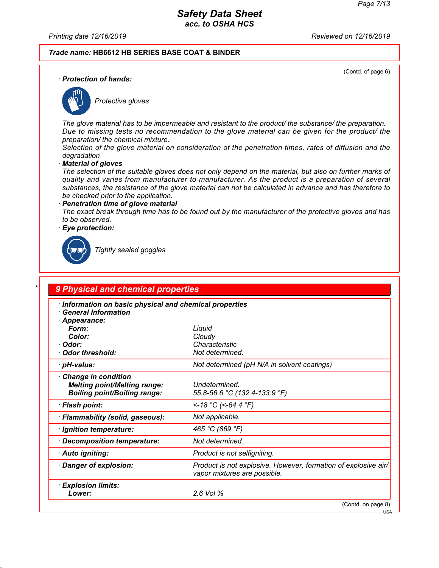*Printing date 12/16/2019 Reviewed on 12/16/2019*

#### *Trade name:* **HB6612 HB SERIES BASE COAT & BINDER**

(Contd. of page 6)

*· Protection of hands:*



*Protective gloves*

*The glove material has to be impermeable and resistant to the product/ the substance/ the preparation. Due to missing tests no recommendation to the glove material can be given for the product/ the preparation/ the chemical mixture.*

*Selection of the glove material on consideration of the penetration times, rates of diffusion and the degradation*

*· Material of gloves*

*The selection of the suitable gloves does not only depend on the material, but also on further marks of quality and varies from manufacturer to manufacturer. As the product is a preparation of several substances, the resistance of the glove material can not be calculated in advance and has therefore to be checked prior to the application.*

*· Penetration time of glove material The exact break through time has to be found out by the manufacturer of the protective gloves and has to be observed.*

*· Eye protection:*



*Tightly sealed goggles*

# *\* 9 Physical and chemical properties*

| Information on basic physical and chemical properties<br>$\cdot$ General Information                      |                                                                                                |
|-----------------------------------------------------------------------------------------------------------|------------------------------------------------------------------------------------------------|
| Appearance:<br>Form:<br>Color:<br>· Odor:<br>· Odor threshold:                                            | Liquid<br>Cloudy<br>Characteristic<br>Not determined.                                          |
| · pH-value:                                                                                               | Not determined (pH N/A in solvent coatings)                                                    |
| $\cdot$ Change in condition<br><b>Melting point/Melting range:</b><br><b>Boiling point/Boiling range:</b> | Undetermined.<br>55.8-56.6 °C (132.4-133.9 °F)                                                 |
| · Flash point:                                                                                            | <-18 °C (<-64.4 °F)                                                                            |
| · Flammability (solid, gaseous):                                                                          | Not applicable.                                                                                |
| · Ignition temperature:                                                                                   | 465 °C (869 °F)                                                                                |
| Decomposition temperature:                                                                                | Not determined.                                                                                |
| · Auto igniting:                                                                                          | Product is not selfigniting.                                                                   |
| Danger of explosion:                                                                                      | Product is not explosive. However, formation of explosive air/<br>vapor mixtures are possible. |
| <b>Explosion limits:</b><br>Lower:                                                                        | 2.6 Vol %                                                                                      |
|                                                                                                           | (Contd. on page 8)                                                                             |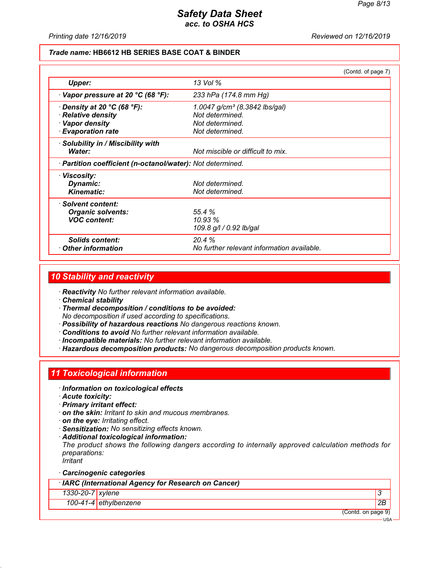*Printing date 12/16/2019 Reviewed on 12/16/2019*

### *Trade name:* **HB6612 HB SERIES BASE COAT & BINDER**

|                                                            |                                            | (Contd. of page 7) |
|------------------------------------------------------------|--------------------------------------------|--------------------|
| Upper:                                                     | 13 Vol %                                   |                    |
| $\cdot$ Vapor pressure at 20 °C (68 °F):                   | 233 hPa (174.8 mm Hg)                      |                    |
| $\cdot$ Density at 20 °C (68 °F):                          | 1.0047 g/cm <sup>3</sup> (8.3842 lbs/gal)  |                    |
| · Relative density                                         | Not determined.                            |                    |
| · Vapor density                                            | Not determined.                            |                    |
| <b>Evaporation rate</b>                                    | Not determined.                            |                    |
| · Solubility in / Miscibility with                         |                                            |                    |
| Water:                                                     | Not miscible or difficult to mix.          |                    |
| · Partition coefficient (n-octanol/water): Not determined. |                                            |                    |
| · Viscosity:                                               |                                            |                    |
| Dynamic:                                                   | Not determined.                            |                    |
| <b>Kinematic:</b>                                          | Not determined.                            |                    |
| · Solvent content:                                         |                                            |                    |
| <b>Organic solvents:</b>                                   | 55.4%                                      |                    |
| <b>VOC content:</b>                                        | 10.93%                                     |                    |
|                                                            | 109.8 g/l / 0.92 lb/gal                    |                    |
| Solids content:                                            | 20.4%                                      |                    |
| Other information                                          | No further relevant information available. |                    |

### *10 Stability and reactivity*

*· Reactivity No further relevant information available.*

*· Chemical stability*

*· Thermal decomposition / conditions to be avoided: No decomposition if used according to specifications.*

- *· Possibility of hazardous reactions No dangerous reactions known.*
- *· Conditions to avoid No further relevant information available.*
- *· Incompatible materials: No further relevant information available.*
- *· Hazardous decomposition products: No dangerous decomposition products known.*

# *11 Toxicological information*

- *· Information on toxicological effects*
- *· Acute toxicity:*
- *· Primary irritant effect:*
- *· on the skin: Irritant to skin and mucous membranes.*
- *· on the eye: Irritating effect.*
- *· Sensitization: No sensitizing effects known.*
- *· Additional toxicological information:*

*The product shows the following dangers according to internally approved calculation methods for preparations:*

*Irritant*

### *· Carcinogenic categories*

*· IARC (International Agency for Research on Cancer)*

#### *1330-20-7 xylene 3*

*100-41-4 ethylbenzene 2B*

(Contd. on page 9)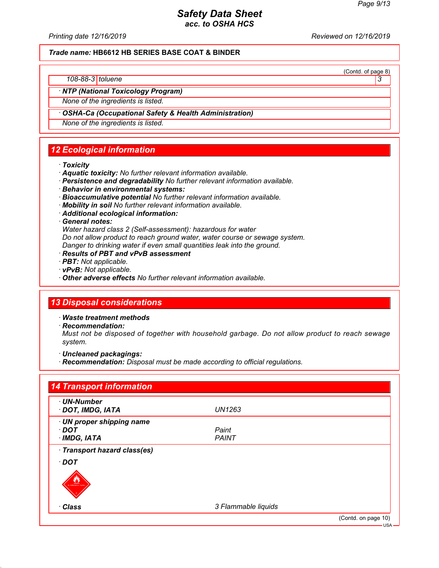(Contd. of page 8)

# *Safety Data Sheet acc. to OSHA HCS*

*Printing date 12/16/2019 Reviewed on 12/16/2019*

*Trade name:* **HB6612 HB SERIES BASE COAT & BINDER**

*108-88-3 toluene 3* 

*· NTP (National Toxicology Program)*

*None of the ingredients is listed.*

### *· OSHA-Ca (Occupational Safety & Health Administration)*

*None of the ingredients is listed.*

# *12 Ecological information*

- *· Toxicity*
- *· Aquatic toxicity: No further relevant information available.*
- *· Persistence and degradability No further relevant information available.*
- *· Behavior in environmental systems:*
- *· Bioaccumulative potential No further relevant information available.*
- *· Mobility in soil No further relevant information available.*
- *· Additional ecological information:*

*· General notes:*

*Water hazard class 2 (Self-assessment): hazardous for water Do not allow product to reach ground water, water course or sewage system. Danger to drinking water if even small quantities leak into the ground.*

- *· Results of PBT and vPvB assessment*
- *· PBT: Not applicable.*
- *· vPvB: Not applicable.*
- *· Other adverse effects No further relevant information available.*

# *13 Disposal considerations*

- *· Waste treatment methods*
- *· Recommendation:*

*Must not be disposed of together with household garbage. Do not allow product to reach sewage system.*

- *· Uncleaned packagings:*
- *· Recommendation: Disposal must be made according to official regulations.*

| · UN-Number                  |                     |  |
|------------------------------|---------------------|--|
| · DOT, IMDG, IATA            | UN1263              |  |
| · UN proper shipping name    |                     |  |
| · DOT                        | Paint               |  |
| $\cdot$ IMDG, IATA           | <b>PAINT</b>        |  |
| · Transport hazard class(es) |                     |  |
| $\cdot$ DOT                  |                     |  |
| <b>LAMMABLE LIQUIL</b>       |                     |  |
|                              |                     |  |
| · Class                      | 3 Flammable liquids |  |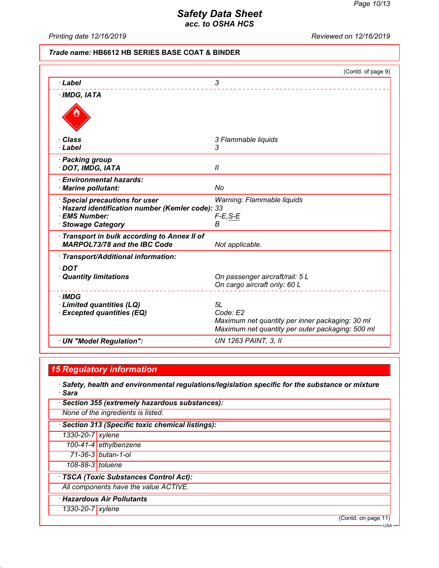*Printing date 12/16/2019 Reviewed on 12/16/2019*

### *Trade name:* **HB6612 HB SERIES BASE COAT & BINDER**

| 3<br>3 Flammable liquids<br>3<br>$\mathcal{U}$<br>No<br><b>Special precautions for user</b><br>Warning: Flammable liquids<br>· Hazard identification number (Kemler code): 33<br>$F-E$ , S-E<br><b>Stowage Category</b><br>В<br><b>MARPOL73/78 and the IBC Code</b><br>Not applicable.<br>On passenger aircraft/rail: 5 L<br>On cargo aircraft only: 60 L<br>5L<br>Code: E2<br>Maximum net quantity per inner packaging: 30 ml<br>Maximum net quantity per outer packaging: 500 ml<br><b>UN 1263 PAINT, 3, II</b> |                                                                        | (Contd. of page 9) |
|-------------------------------------------------------------------------------------------------------------------------------------------------------------------------------------------------------------------------------------------------------------------------------------------------------------------------------------------------------------------------------------------------------------------------------------------------------------------------------------------------------------------|------------------------------------------------------------------------|--------------------|
|                                                                                                                                                                                                                                                                                                                                                                                                                                                                                                                   | · Label                                                                |                    |
|                                                                                                                                                                                                                                                                                                                                                                                                                                                                                                                   | $\cdot$ IMDG, IATA                                                     |                    |
|                                                                                                                                                                                                                                                                                                                                                                                                                                                                                                                   |                                                                        |                    |
|                                                                                                                                                                                                                                                                                                                                                                                                                                                                                                                   | · Class                                                                |                    |
|                                                                                                                                                                                                                                                                                                                                                                                                                                                                                                                   | · Label                                                                |                    |
|                                                                                                                                                                                                                                                                                                                                                                                                                                                                                                                   | · Packing group<br>· DOT, IMDG, IATA                                   |                    |
|                                                                                                                                                                                                                                                                                                                                                                                                                                                                                                                   | · Environmental hazards:<br>· Marine pollutant:                        |                    |
|                                                                                                                                                                                                                                                                                                                                                                                                                                                                                                                   | · EMS Number:                                                          |                    |
|                                                                                                                                                                                                                                                                                                                                                                                                                                                                                                                   | Transport in bulk according to Annex II of                             |                    |
|                                                                                                                                                                                                                                                                                                                                                                                                                                                                                                                   | · Transport/Additional information:                                    |                    |
|                                                                                                                                                                                                                                                                                                                                                                                                                                                                                                                   | $\cdot$ DOT<br>· Quantity limitations                                  |                    |
|                                                                                                                                                                                                                                                                                                                                                                                                                                                                                                                   | · IMDG<br>· Limited quantities (LQ)<br><b>Excepted quantities (EQ)</b> |                    |
|                                                                                                                                                                                                                                                                                                                                                                                                                                                                                                                   | · UN "Model Regulation":                                               |                    |

# *15 Regulatory information*

*· Safety, health and environmental regulations/legislation specific for the substance or mixture · Sara*

|                  | · Section 355 (extremely hazardous substances):   |  |  |
|------------------|---------------------------------------------------|--|--|
|                  | None of the ingredients is listed.                |  |  |
|                  | · Section 313 (Specific toxic chemical listings): |  |  |
| 1330-20-7 xylene |                                                   |  |  |
|                  | 100-41-4 ethylbenzene                             |  |  |
|                  | 71-36-3 butan-1-ol                                |  |  |
| 108-88-3 toluene |                                                   |  |  |
|                  | · TSCA (Toxic Substances Control Act):            |  |  |
|                  | All components have the value ACTIVE.             |  |  |
|                  | · Hazardous Air Pollutants                        |  |  |
| 1330-20-7 xylene |                                                   |  |  |
|                  | (Contd. on page 11)                               |  |  |

USA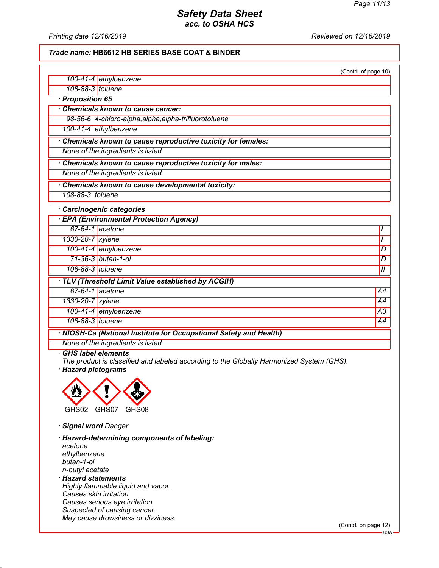*Printing date 12/16/2019 Reviewed on 12/16/2019*

### *Trade name:* **HB6612 HB SERIES BASE COAT & BINDER**

|                  |                                                                    | (Contd. of page 10) |
|------------------|--------------------------------------------------------------------|---------------------|
|                  | 100-41-4 ethylbenzene                                              |                     |
| 108-88-3 toluene |                                                                    |                     |
| · Proposition 65 |                                                                    |                     |
|                  | <b>Chemicals known to cause cancer:</b>                            |                     |
|                  | 98-56-6 4-chloro-alpha, alpha, alpha-trifluorotoluene              |                     |
|                  | 100-41-4 ethylbenzene                                              |                     |
|                  | Chemicals known to cause reproductive toxicity for females:        |                     |
|                  | None of the ingredients is listed.                                 |                     |
|                  | Chemicals known to cause reproductive toxicity for males:          |                     |
|                  | None of the ingredients is listed.                                 |                     |
|                  | Chemicals known to cause developmental toxicity:                   |                     |
| 108-88-3 toluene |                                                                    |                     |
|                  | · Carcinogenic categories                                          |                     |
|                  | <b>EPA (Environmental Protection Agency)</b>                       |                     |
|                  | 67-64-1 acetone                                                    | I                   |
| 1330-20-7 xylene |                                                                    |                     |
|                  | 100-41-4 ethylbenzene                                              | D                   |
|                  | 71-36-3 butan-1-ol                                                 | D                   |
| 108-88-3 toluene |                                                                    | $\mathcal{U}$       |
|                  | TLV (Threshold Limit Value established by ACGIH)                   |                     |
|                  | 67-64-1 acetone                                                    | A4                  |
| 1330-20-7 xylene |                                                                    | A4                  |
|                  | 100-41-4 ethylbenzene                                              | A3                  |
| 108-88-3 toluene |                                                                    | $\overline{A4}$     |
|                  | · NIOSH-Ca (National Institute for Occupational Safety and Health) |                     |
|                  | None of the ingredients is listed.                                 |                     |

#### *· GHS label elements*

*The product is classified and labeled according to the Globally Harmonized System (GHS). · Hazard pictograms*



*· Signal word Danger*

*· Hazard-determining components of labeling: acetone ethylbenzene butan-1-ol n-butyl acetate · Hazard statements Highly flammable liquid and vapor.*

*Causes skin irritation. Causes serious eye irritation. Suspected of causing cancer. May cause drowsiness or dizziness.*

(Contd. on page 12)

USA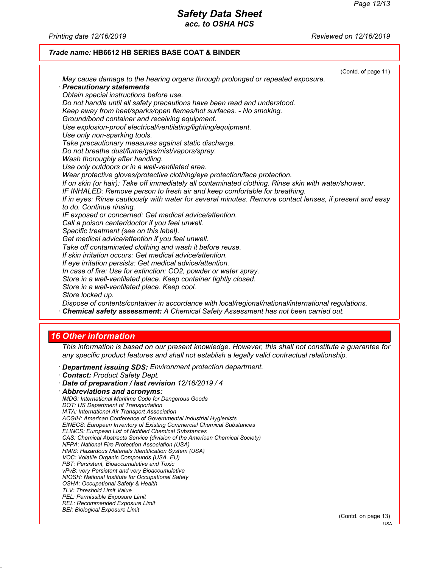*Printing date 12/16/2019 Reviewed on 12/16/2019*

### *Trade name:* **HB6612 HB SERIES BASE COAT & BINDER**

|                                                                                                         | (Contd. of page 11) |
|---------------------------------------------------------------------------------------------------------|---------------------|
| May cause damage to the hearing organs through prolonged or repeated exposure.                          |                     |
| · Precautionary statements                                                                              |                     |
| Obtain special instructions before use.                                                                 |                     |
| Do not handle until all safety precautions have been read and understood.                               |                     |
| Keep away from heat/sparks/open flames/hot surfaces. - No smoking.                                      |                     |
| Ground/bond container and receiving equipment.                                                          |                     |
| Use explosion-proof electrical/ventilating/lighting/equipment.                                          |                     |
| Use only non-sparking tools.                                                                            |                     |
| Take precautionary measures against static discharge.                                                   |                     |
| Do not breathe dust/fume/gas/mist/vapors/spray.                                                         |                     |
| Wash thoroughly after handling.                                                                         |                     |
| Use only outdoors or in a well-ventilated area.                                                         |                     |
| Wear protective gloves/protective clothing/eye protection/face protection.                              |                     |
| If on skin (or hair): Take off immediately all contaminated clothing. Rinse skin with water/shower.     |                     |
| IF INHALED: Remove person to fresh air and keep comfortable for breathing.                              |                     |
| If in eyes: Rinse cautiously with water for several minutes. Remove contact lenses, if present and easy |                     |
| to do. Continue rinsing.                                                                                |                     |
| IF exposed or concerned: Get medical advice/attention.                                                  |                     |
| Call a poison center/doctor if you feel unwell.                                                         |                     |
| Specific treatment (see on this label).<br>Get medical advice/attention if you feel unwell.             |                     |
| Take off contaminated clothing and wash it before reuse.                                                |                     |
| If skin irritation occurs: Get medical advice/attention.                                                |                     |
| If eye irritation persists: Get medical advice/attention.                                               |                     |
| In case of fire: Use for extinction: CO2, powder or water spray.                                        |                     |
| Store in a well-ventilated place. Keep container tightly closed.                                        |                     |
| Store in a well-ventilated place. Keep cool.                                                            |                     |
| Store locked up.                                                                                        |                     |
| Dispose of contents/container in accordance with local/regional/national/international regulations.     |                     |
| Chemical safety assessment: A Chemical Safety Assessment has not been carried out.                      |                     |
|                                                                                                         |                     |

# *16 Other information*

*This information is based on our present knowledge. However, this shall not constitute a guarantee for any specific product features and shall not establish a legally valid contractual relationship.*

- *· Department issuing SDS: Environment protection department.*
- *· Contact: Product Safety Dept.*
- *· Date of preparation / last revision 12/16/2019 / 4*
- *· Abbreviations and acronyms: IMDG: International Maritime Code for Dangerous Goods DOT: US Department of Transportation IATA: International Air Transport Association ACGIH: American Conference of Governmental Industrial Hygienists EINECS: European Inventory of Existing Commercial Chemical Substances ELINCS: European List of Notified Chemical Substances CAS: Chemical Abstracts Service (division of the American Chemical Society) NFPA: National Fire Protection Association (USA) HMIS: Hazardous Materials Identification System (USA) VOC: Volatile Organic Compounds (USA, EU) PBT: Persistent, Bioaccumulative and Toxic vPvB: very Persistent and very Bioaccumulative NIOSH: National Institute for Occupational Safety OSHA: Occupational Safety & Health TLV: Threshold Limit Value PEL: Permissible Exposure Limit REL: Recommended Exposure Limit BEI: Biological Exposure Limit*

(Contd. on page 13)

USA